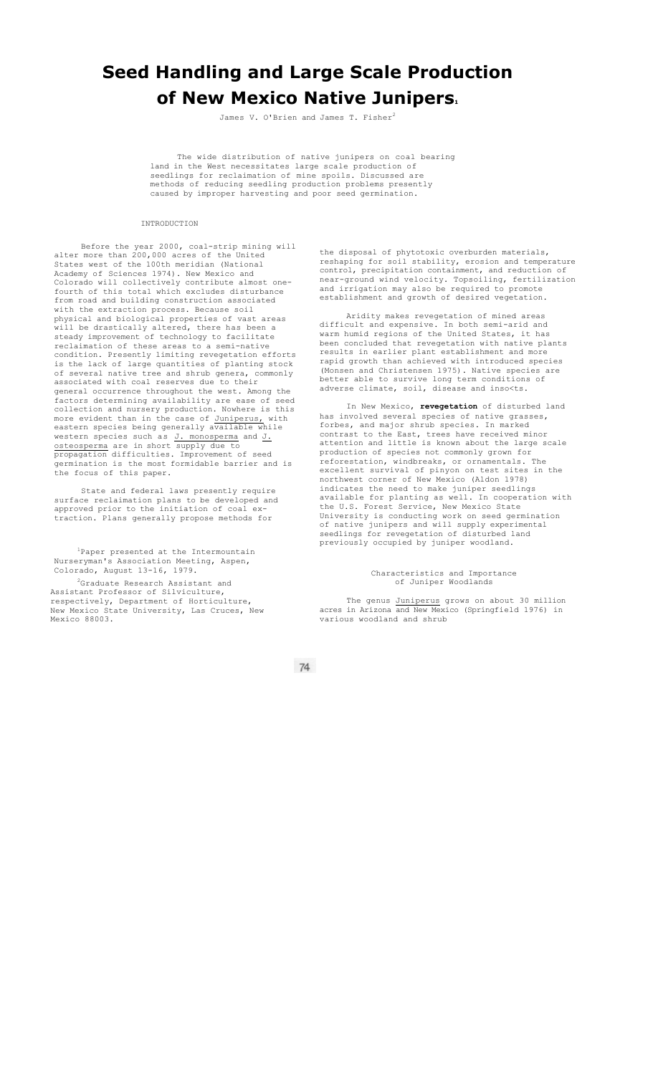## **Seed Handling and Large Scale Production of New Mexico Native Junipers.**

James V. O'Brien and James T. Fisher<sup>2</sup>

The wide distribution of native junipers on coal bearing land in the West necessitates large scale production of seedlings for reclaimation of mine spoils. Discussed are methods of reducing seedling production problems presently caused by improper harvesting and poor seed germination.

INTRODUCTION

Before the year 2000, coal-strip mining will alter more than 200,000 acres of the United States west of the 100th meridian (National Academy of Sciences 1974). New Mexico and Colorado will collectively contribute almost onefourth of this total which excludes disturbance from road and building construction associated with the extraction process. Because soil physical and biological properties of vast areas will be drastically altered, there has been a steady improvement of technology to facilitate reclaimation of these areas to a semi-native condition. Presently limiting revegetation efforts is the lack of large quantities of planting stock of several native tree and shrub genera, commonly associated with coal reserves due to their general occurrence throughout the west. Among the factors determining availability are ease of seed collection and nursery production. Nowhere is this more evident than in the case of Juniperus, with eastern species being generally available while western species such as J. monosperma and J. osteosperma are in short supply due to propagation difficulties. Improvement of seed germination is the most formidable barrier and is the focus of this paper.

State and federal laws presently require surface reclaimation plans to be developed and approved prior to the initiation of coal extraction. Plans generally propose methods for

1Paper presented at the Intermountain Nurseryman's Association Meeting, Aspen, Colorado, August 13-16, 1979.

2Graduate Research Assistant and Assistant Professor of Silviculture, respectively, Department of Horticulture, New Mexico State University, Las Cruces, New Mexico 88003.

the disposal of phytotoxic overburden materials, reshaping for soil stability, erosion and temperature control, precipitation containment, and reduction of near-ground wind velocity. Topsoiling, fertilization and irrigation may also be required to promote establishment and growth of desired vegetation.

Aridity makes revegetation of mined areas difficult and expensive. In both semi-arid and warm humid regions of the United States, it has been concluded that revegetation with native plants results in earlier plant establishment and more rapid growth than achieved with introduced species (Monsen and Christensen 1975). Native species are better able to survive long term conditions of adverse climate, soil, disease and inso<ts.

In New Mexico, **revegetation** of disturbed land has involved several species of native grasses, forbes, and major shrub species. In marked contrast to the East, trees have received minor attention and little is known about the large scale production of species not commonly grown for reforestation, windbreaks, or ornamentals. The excellent survival of pinyon on test sites in the northwest corner of New Mexico (Aldon 1978) indicates the need to make juniper seedlings available for planting as well. In cooperation with the U.S. Forest Service, New Mexico State University is conducting work on seed germination of native junipers and will supply experimental seedlings for revegetation of disturbed land previously occupied by juniper woodland.

## Characteristics and Importance of Juniper Woodlands

The genus Juniperus grows on about 30 million acres in Arizona and New Mexico (Springfield 1976) in various woodland and shrub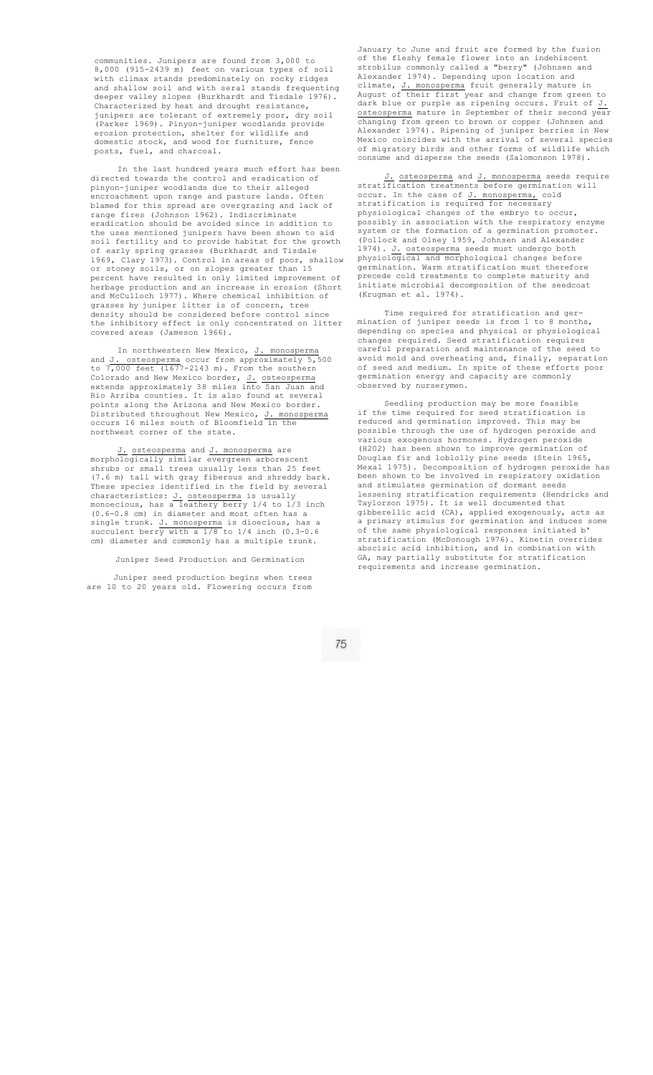communities. Junipers are found from 3,000 to 8,000 (915-2439 m) feet on various types of soil with climax stands predominately on rocky ridges and shallow soil and with seral stands frequenting deeper valley slopes (Burkhardt and Tisdale 1976). Characterized by heat and drought resistance, junipers are tolerant of extremely poor, dry soil (Parker 1969). Pinyon-juniper woodlands provide erosion protection, shelter for wildlife and domestic stock, and wood for furniture, fence posts, fuel, and charcoal.

In the last hundred years much effort has been directed towards the control and eradication of pinyon-juniper woodlands due to their alleged encroachment upon range and pasture lands. Often blamed for this spread are overgrazing and lack of range fires (Johnson 1962). Indiscriminate eradication should be avoided since in addition to the uses mentioned junipers have been shown to aid soil fertility and to provide habitat for the growth of early spring grasses (Burkhardt and Tisdale 1969, Clary 1973). Control in areas of poor, shallow or stoney soils, or on slopes greater than 15 percent have resulted in only limited improvement of herbage production and an increase in erosion (Short and McCulloch 1977). Where chemical inhibition of grasses by juniper litter is of concern, tree density should be considered before control since the inhibitory effect is only concentrated on litter covered areas (Jameson 1966).

In northwestern New Mexico, J. monosperma and J. osteosperma occur from approximately 5,500 to 7,000 feet (1677-2143 m). From the southern Colorado and New Mexico border, J. osteosperma extends approximately 38 miles into San Juan and Rio Arriba counties. It is also found at several Rio Arriba counties. It is also found at several<br>points along the Arizona and New Mexico border.<br>Distributed throughout New Mexico,  $J$ . monosperma Distributed throughout New Mexico, J. monosperma occurs 16 miles south of Bloomfield in the northwest corner of the state.

J. osteosperma and J. monosperma are morphologically similar evergreen arborescent shrubs or small trees usually less than 25 feet (7.6 m) tall with gray fiberous and shreddy bark. These species identified in the field by several characteristics: J. osteosperma is usually monoecious, has a leathery berry 1/4 to 1/3 inch (0.6-0.8 cm) in diameter and most often has a single trunk. J. monosperma is dioecious, has a succulent berry with a 1/8 to 1/4 inch (0.3-0.6 cm) diameter and commonly has a multiple trunk.

Juniper Seed Production and Germination

Juniper seed production begins when trees are 10 to 20 years old. Flowering occurs from

January to June and fruit are formed by the fusion of the fleshy female flower into an indehiscent strobilus commonly called a "berry" (Johnsen and Alexander 1974). Depending upon location and climate, J. monosperma fruit generally mature in August of their first year and change from green to dark blue or purple as ripening occurs. Fruit of  $J$ . osteosperma mature in September of their second year changing from green to brown or copper (Johnsen and Alexander 1974). Ripening of juniper berries in New Mexico coincides with the arrival of several species of migratory birds and other forms of wildlife which consume and disperse the seeds (Salomonson 1978).

J. osteosperma and J. monosperma seeds require stratification treatments before germination will occur. In the case of J. monosperma, cold stratification is required for necessary physiological changes of the embryo to occur, possibly in association with the respiratory enzyme system or the formation of a germination promoter. (Pollock and Olney 1959, Johnsen and Alexander 1974). J. osteosperma seeds must undergo both physiological and morphological changes before germination. Warm stratification must therefore precede cold treatments to complete maturity and initiate microbial decomposition of the seedcoat (Krugman et al. 1974).

Time required for stratification and germination of juniper seeds is from 1 to 8 months, depending on species and physical or physiological changes required. Seed stratification requires careful preparation and maintenance of the seed to avoid mold and overheating and, finally, separation of seed and medium. In spite of these efforts poor germination energy and capacity are commonly observed by nurserymen.

Seedling production may be more feasible if the time required for seed stratification is reduced and germination improved. This may be possible through the use of hydrogen peroxide and various exogenous hormones. Hydrogen peroxide (H202) has been shown to improve germination of Douglas fir and loblolly pine seeds (Stein 1965, Mexal 1975). Decomposition of hydrogen peroxide has been shown to be involved in respiratory oxidation and stimulates germination of dormant seeds lessening stratification requirements (Hendricks and Taylorson 1975). It is well documented that gibberellic acid (CA), applied exogenously, acts as a primary stimulus for germination and induces some of the same physiological responses initiated b' stratification (McDonough 1976). Kinetin overrides abscisic acid inhibition, and in combination with GA, may partially substitute for stratification requirements and increase germination.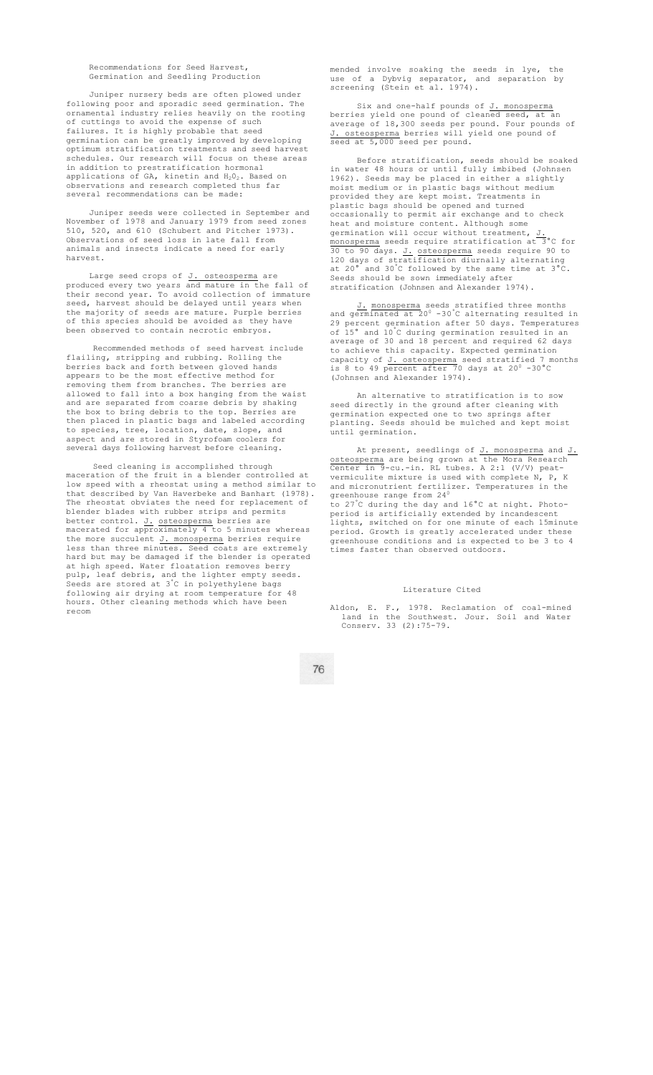Recommendations for Seed Harvest, Germination and Seedling Production

Juniper nursery beds are often plowed under following poor and sporadic seed germination. The ornamental industry relies heavily on the rooting of cuttings to avoid the expense of such failures. It is highly probable that seed germination can be greatly improved by developing optimum stratification treatments and seed harvest schedules. Our research will focus on these areas in addition to prestratification hormonal applications of GA, kinetin and  $H_2O_2$ . Based on servations and research completed thus far several recommendations can be made:

Juniper seeds were collected in September and November of 1978 and January 1979 from seed zones 510, 520, and 610 (Schubert and Pitcher 1973). Observations of seed loss in late fall from animals and insects indicate a need for early harvest.

Large seed crops of J. osteosperma are produced every two years and mature in the fall of their second year. To avoid collection of immature seed, harvest should be delayed until years when the majority of seeds are mature. Purple berries of this species should be avoided as they have been observed to contain necrotic embryos.

Recommended methods of seed harvest include flailing, stripping and rubbing. Rolling the berries back and forth between gloved hands appears to be the most effective method for removing them from branches. The berries are allowed to fall into a box hanging from the waist and are separated from coarse debris by shaking the box to bring debris to the top. Berries are then placed in plastic bags and labeled according to species, tree, location, date, slope, and aspect and are stored in Styrofoam coolers for several days following harvest before cleaning.

Seed cleaning is accomplished through maceration of the fruit in a blender controlled at low speed with a rheostat using a method similar to that described by Van Haverbeke and Banhart (1978). The rheostat obviates the need for replacement of blender blades with rubber strips and permits better control. J. osteosperma berries are macerated for approximately 4 to 5 minutes whereas the more succulent J. monosperma berries require less than three minutes. Seed coats are extremely hard but may be damaged if the blender is operated at high speed. Water floatation removes berry pulp, leaf debris, and the lighter empty seeds. Seeds are stored at 3°C in polyethylene bags following air drying at room temperature for 48 hours. Other cleaning methods which have been recom

mended involve soaking the seeds in lye, the use of a Dybvig separator, and separation by screening (Stein et al. 1974).

Six and one-half pounds of J. monosperma berries yield one pound of cleaned seed, at an average of 18,300 seeds per pound. Four pounds of J. osteosperma berries will yield one pound of seed at 5,000 seed per pound.

Before stratification, seeds should be soaked in water 48 hours or until fully imbibed (Johnsen 1962). Seeds may be placed in either a slightly moist medium or in plastic bags without medium provided they are kept moist. Treatments in plastic bags should be opened and turned occasionally to permit air exchange and to check heat and moisture content. Although some germination will occur without treatment, J. monosperma seeds require stratification at 3°C for 30 to 90 days. J. osteosperma seeds require 90 to 120 days of stratification diurnally alternating at 20° and 30°C followed by the same time at 3°C. Seeds should be sown immediately after stratification (Johnsen and Alexander 1974).

J. monosperma seeds stratified three months<br>and germinated at 20<sup>0</sup> -30°C alternating resulted in 29 percent germination after 50 days. Temperatures of 15° and 10°C during germination resulted in an average of 30 and 18 percent and required 62 days to achieve this capacity. Expected germination capacity of <u>J. osteosperma</u> seed stratified 7 months<br>is 8 to 49 percent after 70 days at 20<sup>0</sup> -30°C (Johnsen and Alexander 1974).

An alternative to stratification is to sow seed directly in the ground after cleaning with germination expected one to two springs after planting. Seeds should be mulched and kept moist until germination.

At present, seedlings of J. monosperma and J. osteosperma are being grown at the Mora Research Center in 9-cu.-in. RL tubes. A 2:1 (V/V) peatvermiculite mixture is used with complete N, P, K and micronutrient fertilizer. Temperatures in the greenhouse range from 24 $^{0}$ to 27°C during the day and 16°C at night. Photoperiod is artificially extended by incandescent lights, switched on for one minute of each 15minute period. Growth is greatly accelerated under these greenhouse conditions and is expected to be 3 to 4 times faster than observed outdoors.

## Literature Cited

Aldon, E. F., 1978. Reclamation of coal-mined land in the Southwest. Jour. Soil and Water Conserv. 33 (2):75-79.